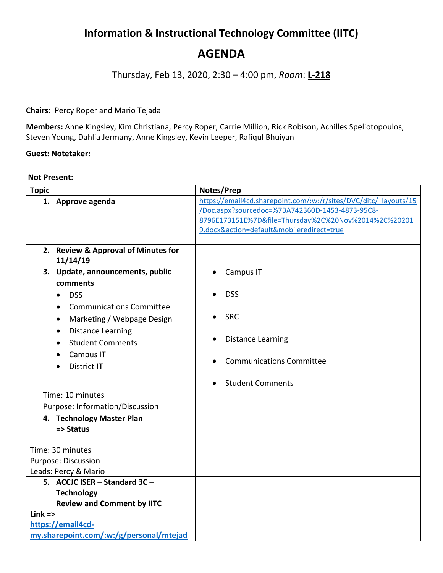# **Information & Instructional Technology Committee (IITC)**

## **AGENDA**

Thursday, Feb 13, 2020, 2:30 – 4:00 pm, *Room*: **L-218**

### **Chairs:** Percy Roper and Mario Tejada

**Members:** Anne Kingsley, Kim Christiana, Percy Roper, Carrie Million, Rick Robison, Achilles Speliotopoulos, Steven Young, Dahlia Jermany, Anne Kingsley, Kevin Leeper, Rafiqul Bhuiyan

#### **Guest: Notetaker:**

#### **Not Present:**

| <b>Topic</b>      |                                         | Notes/Prep                                                       |                                                      |
|-------------------|-----------------------------------------|------------------------------------------------------------------|------------------------------------------------------|
|                   | 1. Approve agenda                       | https://email4cd.sharepoint.com/:w:/r/sites/DVC/ditc/ layouts/15 |                                                      |
|                   |                                         |                                                                  | /Doc.aspx?sourcedoc=%7BA742360D-1453-4873-95C8-      |
|                   |                                         |                                                                  | 8796E173151E%7D&file=Thursday%2C%20Nov%2014%2C%20201 |
|                   |                                         |                                                                  | 9.docx&action=default&mobileredirect=true            |
|                   | 2. Review & Approval of Minutes for     |                                                                  |                                                      |
|                   | 11/14/19                                |                                                                  |                                                      |
|                   | 3. Update, announcements, public        | $\bullet$                                                        | Campus IT                                            |
|                   | comments                                |                                                                  |                                                      |
|                   | <b>DSS</b>                              |                                                                  | <b>DSS</b>                                           |
|                   | <b>Communications Committee</b>         |                                                                  |                                                      |
|                   | Marketing / Webpage Design<br>$\bullet$ |                                                                  | <b>SRC</b>                                           |
|                   | <b>Distance Learning</b>                |                                                                  |                                                      |
|                   | <b>Student Comments</b>                 | $\bullet$                                                        | <b>Distance Learning</b>                             |
|                   | Campus IT                               |                                                                  |                                                      |
|                   | District IT                             |                                                                  | <b>Communications Committee</b>                      |
|                   |                                         |                                                                  |                                                      |
|                   |                                         |                                                                  | <b>Student Comments</b>                              |
|                   | Time: 10 minutes                        |                                                                  |                                                      |
|                   | Purpose: Information/Discussion         |                                                                  |                                                      |
|                   | 4. Technology Master Plan               |                                                                  |                                                      |
|                   | => Status                               |                                                                  |                                                      |
|                   | Time: 30 minutes                        |                                                                  |                                                      |
|                   | Purpose: Discussion                     |                                                                  |                                                      |
|                   | Leads: Percy & Mario                    |                                                                  |                                                      |
|                   | 5. ACCJC ISER - Standard 3C -           |                                                                  |                                                      |
|                   | <b>Technology</b>                       |                                                                  |                                                      |
|                   | <b>Review and Comment by IITC</b>       |                                                                  |                                                      |
| $Link =$          |                                         |                                                                  |                                                      |
| https://email4cd- |                                         |                                                                  |                                                      |
|                   | my.sharepoint.com/:w:/g/personal/mtejad |                                                                  |                                                      |